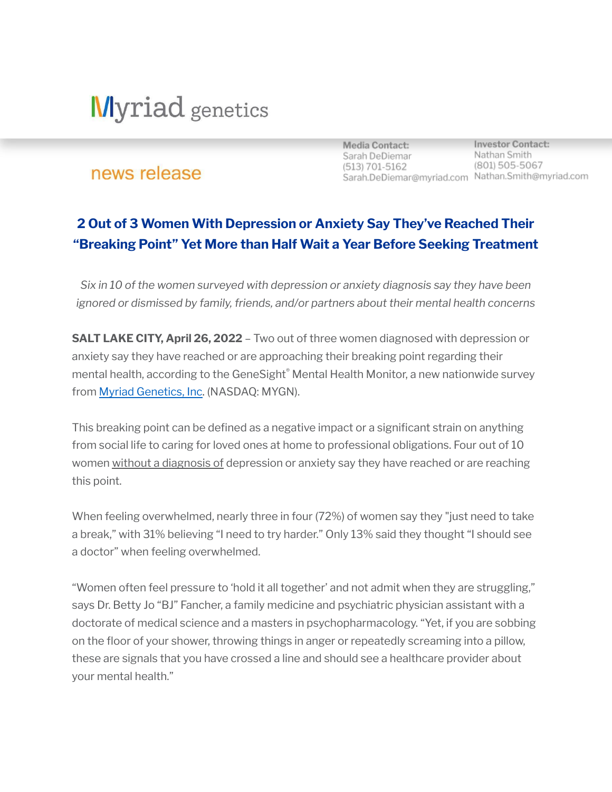# **Myriad** genetics

## news release

Media Contact: Sarah DeDiemar (513) 701-5162 Sarah.DeDiemar@myriad.com Nathan.Smith@myriad.com

Investor Contact: Nathan Smith (801) 505-5067

### **2 Out of 3 Women With Depression or Anxiety Say They've Reached Their "Breaking Point" Yet More than Half Wait a Year Before Seeking Treatment**

*Six in 10 of the women surveyed with depression or anxiety diagnosis say they have been ignored or dismissed by family, friends, and/or partners about their mental health concerns*

**SALT LAKE CITY, April 26, 2022** – Two out of three women diagnosed with depression or anxiety say they have reached or are approaching their breaking point regarding their mental health, according to the GeneSight ® Mental Health Monitor, a new nationwide survey from Myriad [Genetics,](http://www.myriad.com) Inc. (NASDAQ: MYGN).

This breaking point can be defined as a negative impact or a significant strain on anything from social life to caring for loved ones at home to professional obligations. Four out of 10 women without a diagnosis of depression or anxiety say they have reached or are reaching this point.

When feeling overwhelmed, nearly three in four (72%) of women say they "just need to take a break," with 31% believing "I need to try harder." Only 13% said they thought "I should see a doctor" when feeling overwhelmed.

"Women often feel pressure to 'hold it all together' and not admit when they are struggling," says Dr. Betty Jo "BJ" Fancher, a family medicine and psychiatric physician assistant with a doctorate of medical science and a masters in psychopharmacology. "Yet, if you are sobbing on the floor of your shower, throwing things in anger or repeatedly screaming into a pillow, these are signals that you have crossed a line and should see a healthcare provider about your mental health."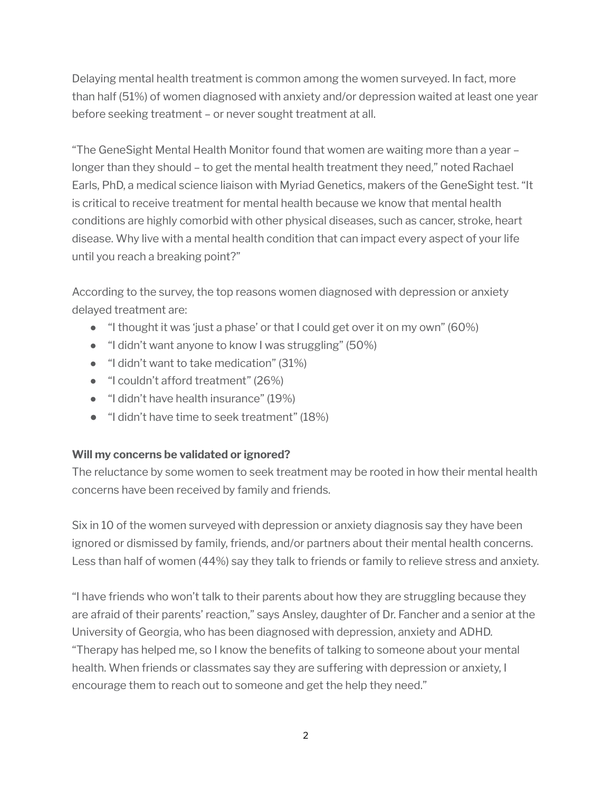Delaying mental health treatment is common among the women surveyed. In fact, more than half (51%) of women diagnosed with anxiety and/or depression waited at least one year before seeking treatment – or never sought treatment at all.

"The GeneSight Mental Health Monitor found that women are waiting more than a year – longer than they should – to get the mental health treatment they need," noted Rachael Earls, PhD, a medical science liaison with Myriad Genetics, makers of the GeneSight test. "It is critical to receive treatment for mental health because we know that mental health conditions are highly comorbid with other physical diseases, such as cancer, stroke, heart disease. Why live with a mental health condition that can impact every aspect of your life until you reach a breaking point?"

According to the survey, the top reasons women diagnosed with depression or anxiety delayed treatment are:

- "I thought it was 'just a phase' or that I could get over it on my own" (60%)
- "I didn't want anyone to know I was struggling" (50%)
- "I didn't want to take medication" (31%)
- "I couldn't afford treatment" (26%)
- "I didn't have health insurance" (19%)
- "I didn't have time to seek treatment" (18%)

#### **Will my concerns be validated or ignored?**

The reluctance by some women to seek treatment may be rooted in how their mental health concerns have been received by family and friends.

Six in 10 of the women surveyed with depression or anxiety diagnosis say they have been ignored or dismissed by family, friends, and/or partners about their mental health concerns. Less than half of women (44%) say they talk to friends or family to relieve stress and anxiety.

"I have friends who won't talk to their parents about how they are struggling because they are afraid of their parents' reaction," says Ansley, daughter of Dr. Fancher and a senior at the University of Georgia, who has been diagnosed with depression, anxiety and ADHD. "Therapy has helped me, so I know the benefits of talking to someone about your mental health. When friends or classmates say they are suffering with depression or anxiety, I encourage them to reach out to someone and get the help they need."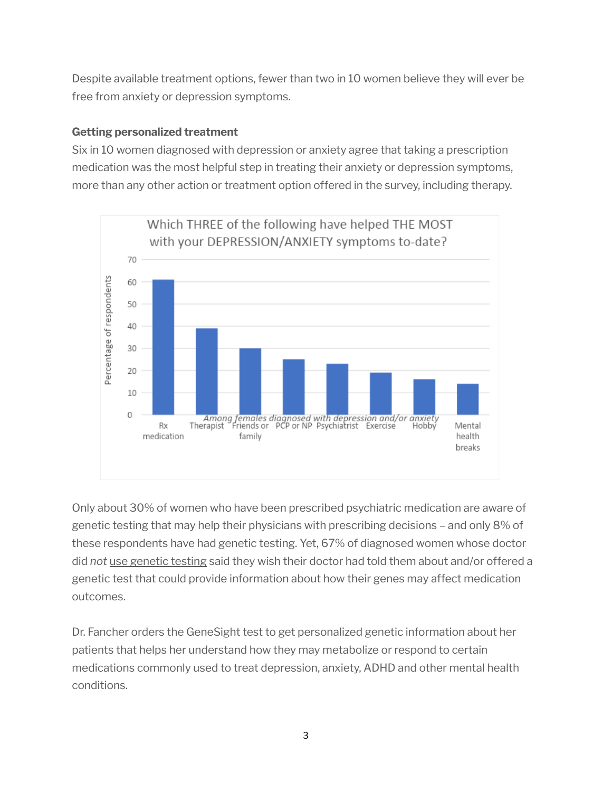Despite available treatment options, fewer than two in 10 women believe they will ever be free from anxiety or depression symptoms.

#### **Getting personalized treatment**

Six in 10 women diagnosed with depression or anxiety agree that taking a prescription medication was the most helpful step in treating their anxiety or depression symptoms, more than any other action or treatment option offered in the survey, including therapy.



Only about 30% of women who have been prescribed psychiatric medication are aware of genetic testing that may help their physicians with prescribing decisions – and only 8% of these respondents have had genetic testing. Yet, 67% of diagnosed women whose doctor did *not* use genetic testing said they wish their doctor had told them about and/or offered a genetic test that could provide information about how their genes may affect medication outcomes.

Dr. Fancher orders the GeneSight test to get personalized genetic information about her patients that helps her understand how they may metabolize or respond to certain medications commonly used to treat depression, anxiety, ADHD and other mental health conditions.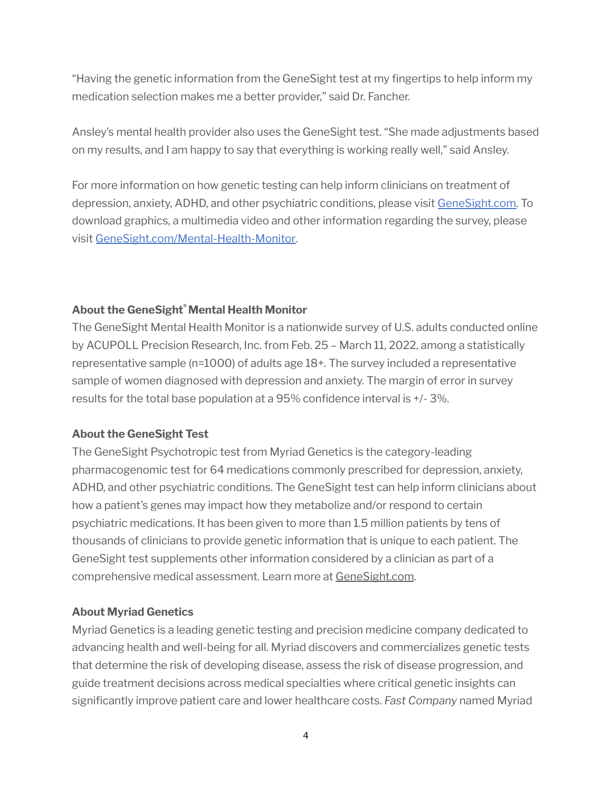"Having the genetic information from the GeneSight test at my fingertips to help inform my medication selection makes me a better provider," said Dr. Fancher.

Ansley's mental health provider also uses the GeneSight test. "She made adjustments based on my results, and I am happy to say that everything is working really well," said Ansley.

For more information on how genetic testing can help inform clinicians on treatment of depression, anxiety, ADHD, and other psychiatric conditions, please visit [GeneSight.com.](https://genesight.com/) To download graphics, a multimedia video and other information regarding the survey, please visit [GeneSight.com/Mental-Health-Monitor](https://genesight.com/mental-health-monitor/).

#### **About the GeneSight ®Mental Health Monitor**

The GeneSight Mental Health Monitor is a nationwide survey of U.S. adults conducted online by ACUPOLL Precision Research, Inc. from Feb. 25 – March 11, 2022, among a statistically representative sample (n=1000) of adults age 18+. The survey included a representative sample of women diagnosed with depression and anxiety. The margin of error in survey results for the total base population at a 95% confidence interval is +/- 3%.

#### **About the GeneSight Test**

The GeneSight Psychotropic test from Myriad Genetics is the category-leading pharmacogenomic test for 64 medications commonly prescribed for depression, anxiety, ADHD, and other psychiatric conditions. The GeneSight test can help inform clinicians about how a patient's genes may impact how they metabolize and/or respond to certain psychiatric medications. It has been given to more than 1.5 million patients by tens of thousands of clinicians to provide genetic information that is unique to each patient. The GeneSight test supplements other information considered by a clinician as part of a comprehensive medical assessment. Learn more at [GeneSight.com](https://genesight.com/).

#### **About Myriad Genetics**

Myriad Genetics is a leading genetic testing and precision medicine company dedicated to advancing health and well-being for all. Myriad discovers and commercializes genetic tests that determine the risk of developing disease, assess the risk of disease progression, and guide treatment decisions across medical specialties where critical genetic insights can significantly improve patient care and lower healthcare costs. *Fast Company* named Myriad